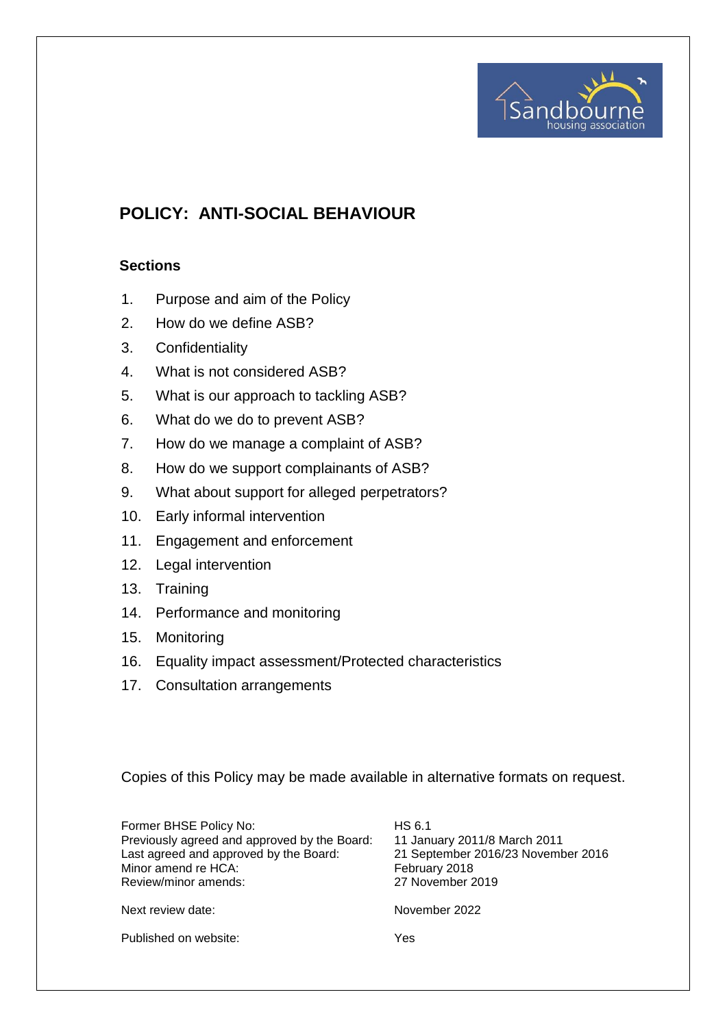

# **POLICY: ANTI-SOCIAL BEHAVIOUR**

#### **Sections**

- 1. Purpose and aim of the Policy
- 2. How do we define ASB?
- 3. Confidentiality
- 4. What is not considered ASB?
- 5. What is our approach to tackling ASB?
- 6. What do we do to prevent ASB?
- 7. How do we manage a complaint of ASB?
- 8. How do we support complainants of ASB?
- 9. What about support for alleged perpetrators?
- 10. Early informal intervention
- 11. Engagement and enforcement
- 12. Legal intervention
- 13. Training
- 14. Performance and monitoring
- 15. Monitoring
- 16. Equality impact assessment/Protected characteristics
- 17. Consultation arrangements

Copies of this Policy may be made available in alternative formats on request.

| Former BHSE Policy No:<br>Previously agreed and approved by the Board:<br>Last agreed and approved by the Board:<br>Minor amend re HCA:<br>Review/minor amends: | HS 6.1<br>11 January 2011/8 March 2011<br>21 September 2016/23 November 2016<br>February 2018<br>27 November 2019 |
|-----------------------------------------------------------------------------------------------------------------------------------------------------------------|-------------------------------------------------------------------------------------------------------------------|
| Next review date:                                                                                                                                               | November 2022                                                                                                     |
| Published on website:                                                                                                                                           | Yes                                                                                                               |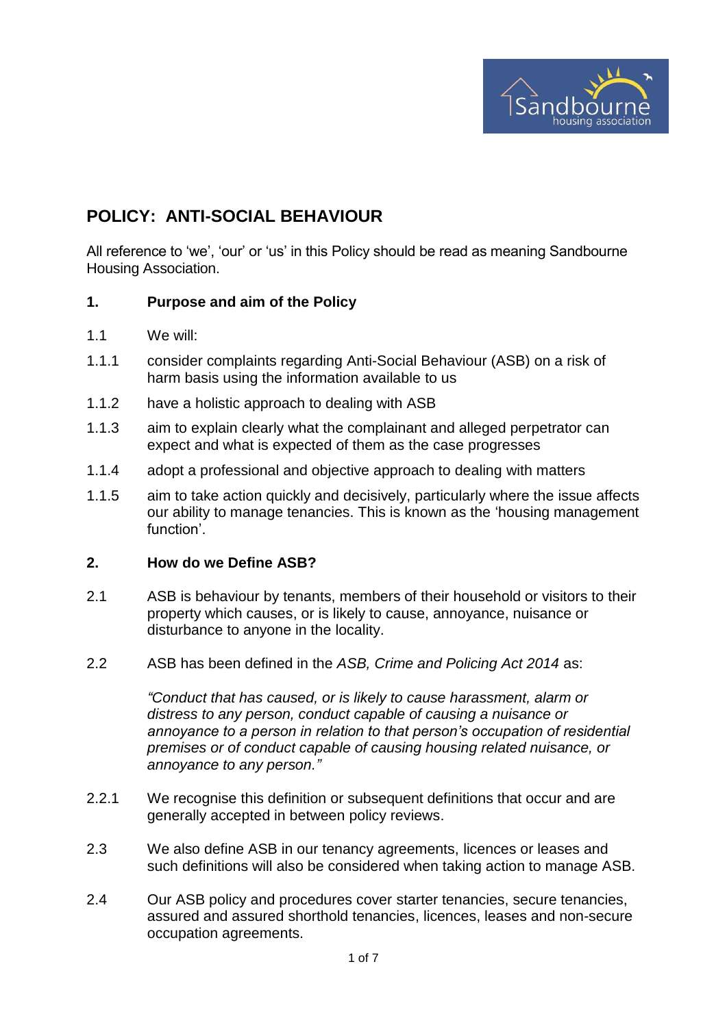

# **POLICY: ANTI-SOCIAL BEHAVIOUR**

All reference to 'we', 'our' or 'us' in this Policy should be read as meaning Sandbourne Housing Association.

#### **1. Purpose and aim of the Policy**

- 1.1 We will:
- 1.1.1 consider complaints regarding Anti-Social Behaviour (ASB) on a risk of harm basis using the information available to us
- 1.1.2 have a holistic approach to dealing with ASB
- 1.1.3 aim to explain clearly what the complainant and alleged perpetrator can expect and what is expected of them as the case progresses
- 1.1.4 adopt a professional and objective approach to dealing with matters
- 1.1.5 aim to take action quickly and decisively, particularly where the issue affects our ability to manage tenancies. This is known as the 'housing management function'.

#### **2. How do we Define ASB?**

- 2.1 ASB is behaviour by tenants, members of their household or visitors to their property which causes, or is likely to cause, annoyance, nuisance or disturbance to anyone in the locality.
- 2.2 ASB has been defined in the *ASB, Crime and Policing Act 2014* as:

*"Conduct that has caused, or is likely to cause harassment, alarm or distress to any person, conduct capable of causing a nuisance or annoyance to a person in relation to that person's occupation of residential premises or of conduct capable of causing housing related nuisance, or annoyance to any person."*

- 2.2.1 We recognise this definition or subsequent definitions that occur and are generally accepted in between policy reviews.
- 2.3 We also define ASB in our tenancy agreements, licences or leases and such definitions will also be considered when taking action to manage ASB.
- 2.4 Our ASB policy and procedures cover starter tenancies, secure tenancies, assured and assured shorthold tenancies, licences, leases and non-secure occupation agreements.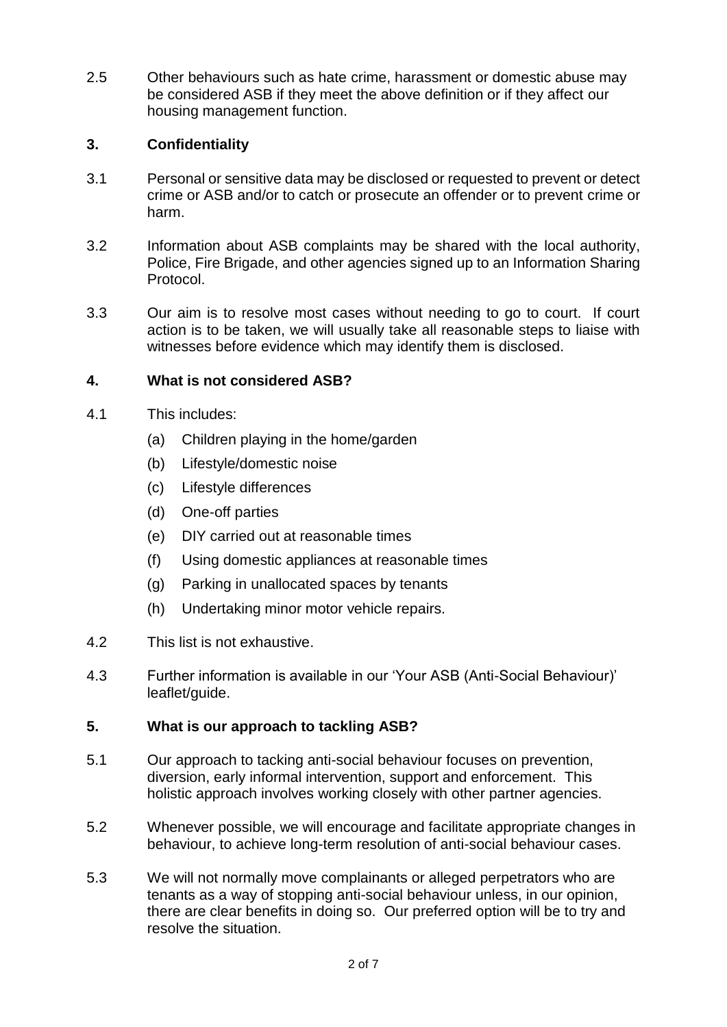2.5 Other behaviours such as hate crime, harassment or domestic abuse may be considered ASB if they meet the above definition or if they affect our housing management function.

### **3. Confidentiality**

- 3.1 Personal or sensitive data may be disclosed or requested to prevent or detect crime or ASB and/or to catch or prosecute an offender or to prevent crime or harm.
- 3.2 Information about ASB complaints may be shared with the local authority, Police, Fire Brigade, and other agencies signed up to an Information Sharing Protocol.
- 3.3 Our aim is to resolve most cases without needing to go to court. If court action is to be taken, we will usually take all reasonable steps to liaise with witnesses before evidence which may identify them is disclosed.

### **4. What is not considered ASB?**

- 4.1 This includes:
	- (a) Children playing in the home/garden
	- (b) Lifestyle/domestic noise
	- (c) Lifestyle differences
	- (d) One-off parties
	- (e) DIY carried out at reasonable times
	- (f) Using domestic appliances at reasonable times
	- (g) Parking in unallocated spaces by tenants
	- (h) Undertaking minor motor vehicle repairs.
- 4.2 This list is not exhaustive.
- 4.3 Further information is available in our 'Your ASB (Anti-Social Behaviour)' leaflet/guide.

#### **5. What is our approach to tackling ASB?**

- 5.1 Our approach to tacking anti-social behaviour focuses on prevention, diversion, early informal intervention, support and enforcement. This holistic approach involves working closely with other partner agencies.
- 5.2 Whenever possible, we will encourage and facilitate appropriate changes in behaviour, to achieve long-term resolution of anti-social behaviour cases.
- 5.3 We will not normally move complainants or alleged perpetrators who are tenants as a way of stopping anti-social behaviour unless, in our opinion, there are clear benefits in doing so. Our preferred option will be to try and resolve the situation.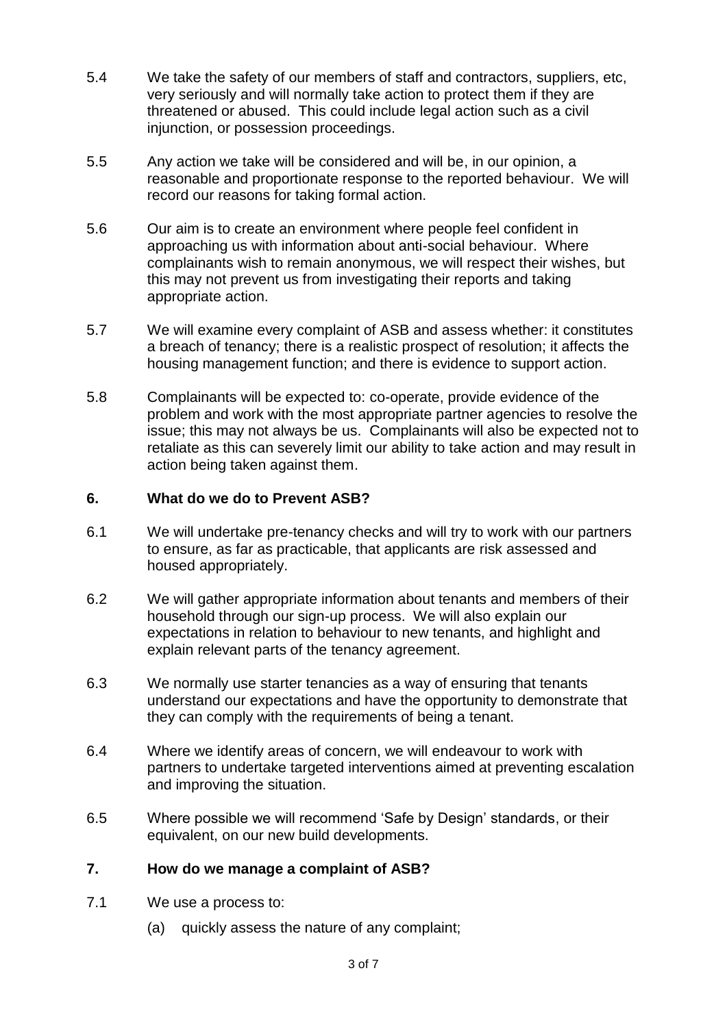- 5.4 We take the safety of our members of staff and contractors, suppliers, etc, very seriously and will normally take action to protect them if they are threatened or abused. This could include legal action such as a civil injunction, or possession proceedings.
- 5.5 Any action we take will be considered and will be, in our opinion, a reasonable and proportionate response to the reported behaviour. We will record our reasons for taking formal action.
- 5.6 Our aim is to create an environment where people feel confident in approaching us with information about anti-social behaviour. Where complainants wish to remain anonymous, we will respect their wishes, but this may not prevent us from investigating their reports and taking appropriate action.
- 5.7 We will examine every complaint of ASB and assess whether: it constitutes a breach of tenancy; there is a realistic prospect of resolution; it affects the housing management function; and there is evidence to support action.
- 5.8 Complainants will be expected to: co-operate, provide evidence of the problem and work with the most appropriate partner agencies to resolve the issue; this may not always be us. Complainants will also be expected not to retaliate as this can severely limit our ability to take action and may result in action being taken against them.

#### **6. What do we do to Prevent ASB?**

- 6.1 We will undertake pre-tenancy checks and will try to work with our partners to ensure, as far as practicable, that applicants are risk assessed and housed appropriately.
- 6.2 We will gather appropriate information about tenants and members of their household through our sign-up process. We will also explain our expectations in relation to behaviour to new tenants, and highlight and explain relevant parts of the tenancy agreement.
- 6.3 We normally use starter tenancies as a way of ensuring that tenants understand our expectations and have the opportunity to demonstrate that they can comply with the requirements of being a tenant.
- 6.4 Where we identify areas of concern, we will endeavour to work with partners to undertake targeted interventions aimed at preventing escalation and improving the situation.
- 6.5 Where possible we will recommend 'Safe by Design' standards, or their equivalent, on our new build developments.

#### **7. How do we manage a complaint of ASB?**

- 7.1 We use a process to:
	- (a) quickly assess the nature of any complaint;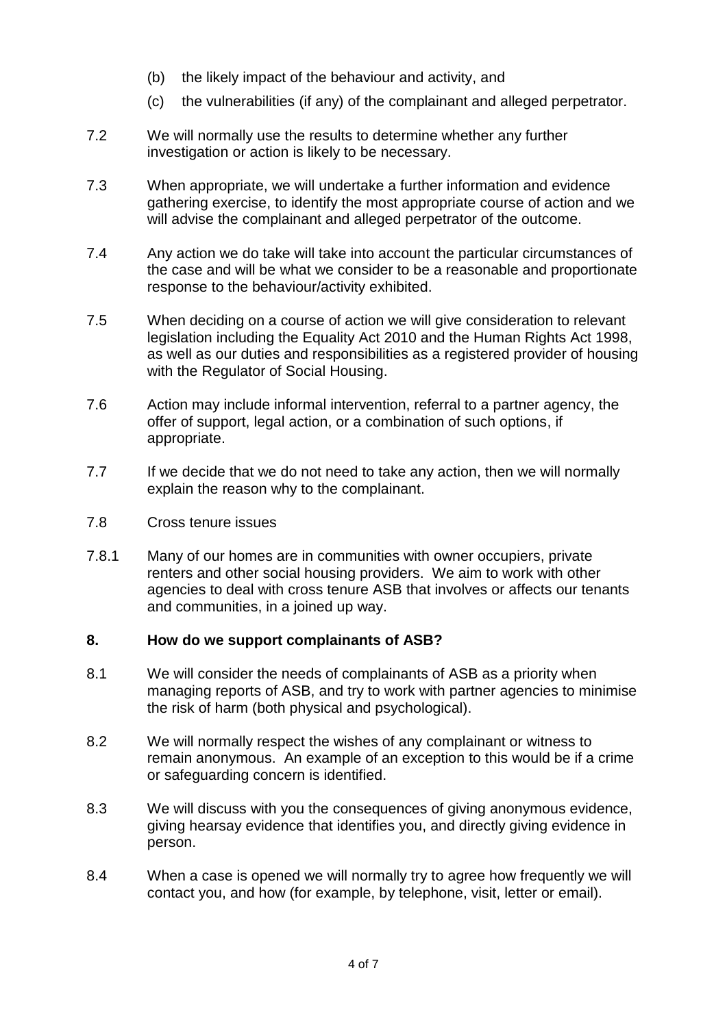- (b) the likely impact of the behaviour and activity, and
- (c) the vulnerabilities (if any) of the complainant and alleged perpetrator.
- 7.2 We will normally use the results to determine whether any further investigation or action is likely to be necessary.
- 7.3 When appropriate, we will undertake a further information and evidence gathering exercise, to identify the most appropriate course of action and we will advise the complainant and alleged perpetrator of the outcome.
- 7.4 Any action we do take will take into account the particular circumstances of the case and will be what we consider to be a reasonable and proportionate response to the behaviour/activity exhibited.
- 7.5 When deciding on a course of action we will give consideration to relevant legislation including the Equality Act 2010 and the Human Rights Act 1998, as well as our duties and responsibilities as a registered provider of housing with the Regulator of Social Housing.
- 7.6 Action may include informal intervention, referral to a partner agency, the offer of support, legal action, or a combination of such options, if appropriate.
- 7.7 If we decide that we do not need to take any action, then we will normally explain the reason why to the complainant.
- 7.8 Cross tenure issues
- 7.8.1 Many of our homes are in communities with owner occupiers, private renters and other social housing providers. We aim to work with other agencies to deal with cross tenure ASB that involves or affects our tenants and communities, in a joined up way.

#### **8. How do we support complainants of ASB?**

- 8.1 We will consider the needs of complainants of ASB as a priority when managing reports of ASB, and try to work with partner agencies to minimise the risk of harm (both physical and psychological).
- 8.2 We will normally respect the wishes of any complainant or witness to remain anonymous. An example of an exception to this would be if a crime or safeguarding concern is identified.
- 8.3 We will discuss with you the consequences of giving anonymous evidence, giving hearsay evidence that identifies you, and directly giving evidence in person.
- 8.4 When a case is opened we will normally try to agree how frequently we will contact you, and how (for example, by telephone, visit, letter or email).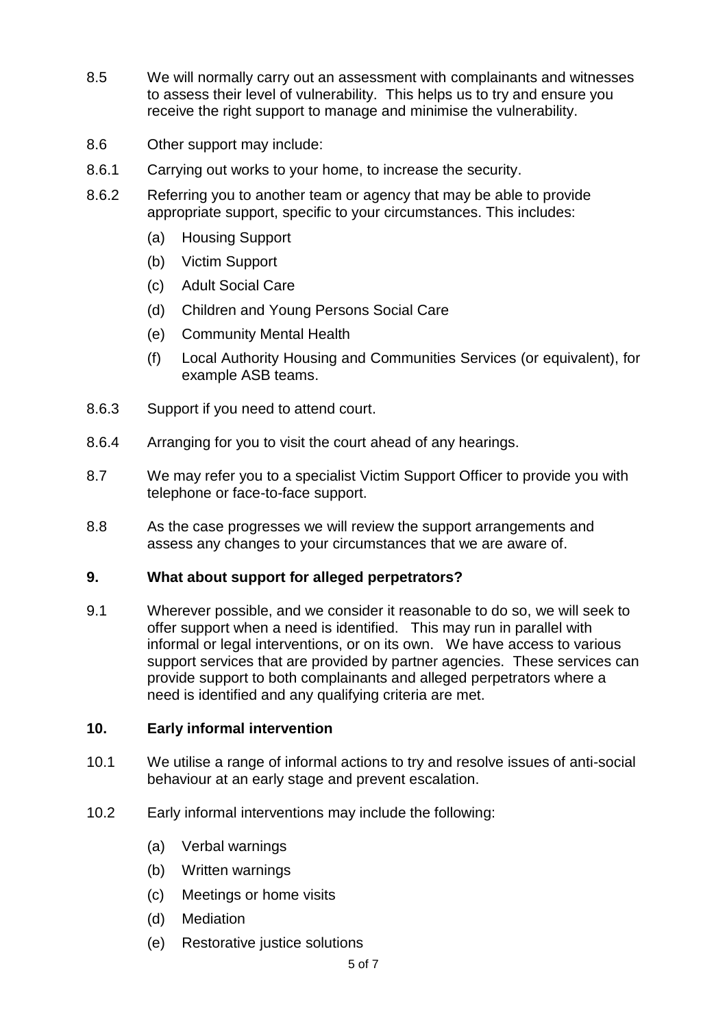- 8.5 We will normally carry out an assessment with complainants and witnesses to assess their level of vulnerability. This helps us to try and ensure you receive the right support to manage and minimise the vulnerability.
- 8.6 Other support may include:
- 8.6.1 Carrying out works to your home, to increase the security.
- 8.6.2 Referring you to another team or agency that may be able to provide appropriate support, specific to your circumstances. This includes:
	- (a) Housing Support
	- (b) Victim Support
	- (c) Adult Social Care
	- (d) Children and Young Persons Social Care
	- (e) Community Mental Health
	- (f) Local Authority Housing and Communities Services (or equivalent), for example ASB teams.
- 8.6.3 Support if you need to attend court.
- 8.6.4 Arranging for you to visit the court ahead of any hearings.
- 8.7 We may refer you to a specialist Victim Support Officer to provide you with telephone or face-to-face support.
- 8.8 As the case progresses we will review the support arrangements and assess any changes to your circumstances that we are aware of.

#### **9. What about support for alleged perpetrators?**

9.1 Wherever possible, and we consider it reasonable to do so, we will seek to offer support when a need is identified. This may run in parallel with informal or legal interventions, or on its own. We have access to various support services that are provided by partner agencies. These services can provide support to both complainants and alleged perpetrators where a need is identified and any qualifying criteria are met.

#### **10. Early informal intervention**

- 10.1 We utilise a range of informal actions to try and resolve issues of anti-social behaviour at an early stage and prevent escalation.
- 10.2 Early informal interventions may include the following:
	- (a) Verbal warnings
	- (b) Written warnings
	- (c) Meetings or home visits
	- (d) Mediation
	- (e) Restorative justice solutions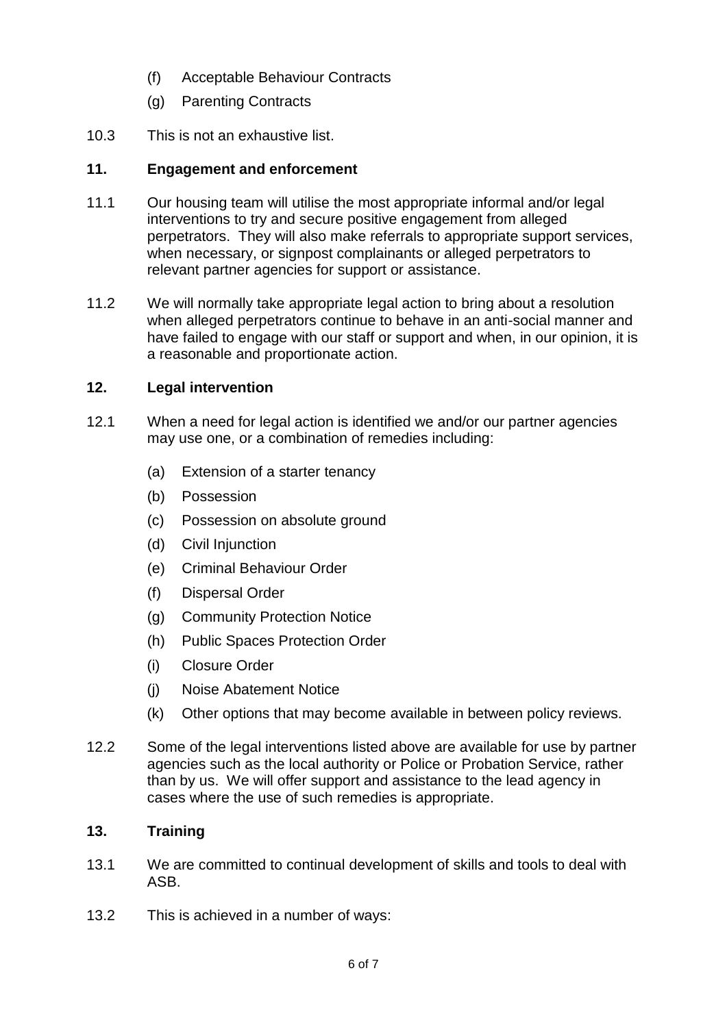- (f) Acceptable Behaviour Contracts
- (g) Parenting Contracts
- 10.3 This is not an exhaustive list.

### **11. Engagement and enforcement**

- 11.1 Our housing team will utilise the most appropriate informal and/or legal interventions to try and secure positive engagement from alleged perpetrators. They will also make referrals to appropriate support services, when necessary, or signpost complainants or alleged perpetrators to relevant partner agencies for support or assistance.
- 11.2 We will normally take appropriate legal action to bring about a resolution when alleged perpetrators continue to behave in an anti-social manner and have failed to engage with our staff or support and when, in our opinion, it is a reasonable and proportionate action.

### **12. Legal intervention**

- 12.1 When a need for legal action is identified we and/or our partner agencies may use one, or a combination of remedies including:
	- (a) Extension of a starter tenancy
	- (b) Possession
	- (c) Possession on absolute ground
	- (d) Civil Injunction
	- (e) Criminal Behaviour Order
	- (f) Dispersal Order
	- (g) Community Protection Notice
	- (h) Public Spaces Protection Order
	- (i) Closure Order
	- (j) Noise Abatement Notice
	- (k) Other options that may become available in between policy reviews.
- 12.2 Some of the legal interventions listed above are available for use by partner agencies such as the local authority or Police or Probation Service, rather than by us. We will offer support and assistance to the lead agency in cases where the use of such remedies is appropriate.

# **13. Training**

- 13.1 We are committed to continual development of skills and tools to deal with ASB.
- 13.2 This is achieved in a number of ways: